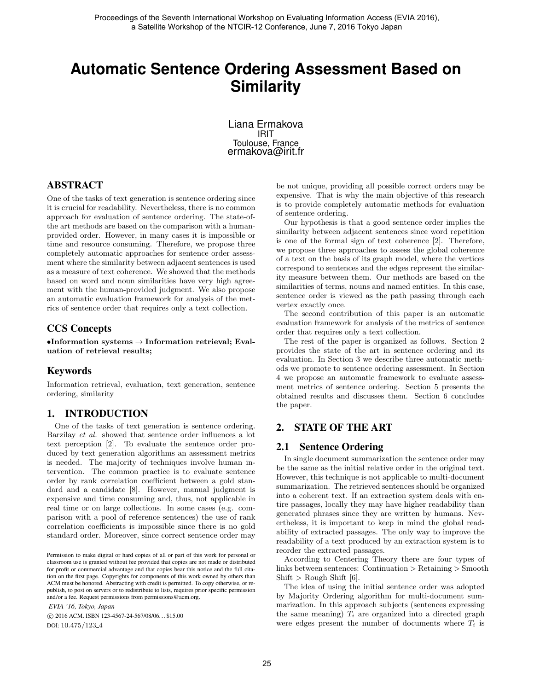# **Automatic Sentence Ordering Assessment Based on Similarity**

Liana Ermakova IRIT Toulouse, France ermakova@irit.fr

## ABSTRACT

One of the tasks of text generation is sentence ordering since it is crucial for readability. Nevertheless, there is no common approach for evaluation of sentence ordering. The state-ofthe art methods are based on the comparison with a humanprovided order. However, in many cases it is impossible or time and resource consuming. Therefore, we propose three completely automatic approaches for sentence order assessment where the similarity between adjacent sentences is used as a measure of text coherence. We showed that the methods based on word and noun similarities have very high agreement with the human-provided judgment. We also propose an automatic evaluation framework for analysis of the metrics of sentence order that requires only a text collection.

# CCS Concepts

 $\bullet$ Information systems  $\rightarrow$  Information retrieval; Evaluation of retrieval results;

## Keywords

Information retrieval, evaluation, text generation, sentence ordering, similarity

## 1. INTRODUCTION

One of the tasks of text generation is sentence ordering. Barzilay et al. showed that sentence order influences a lot text perception [2]. To evaluate the sentence order produced by text generation algorithms an assessment metrics is needed. The majority of techniques involve human intervention. The common practice is to evaluate sentence order by rank correlation coefficient between a gold standard and a candidate [8]. However, manual judgment is expensive and time consuming and, thus, not applicable in real time or on large collections. In some cases (e.g. comparison with a pool of reference sentences) the use of rank correlation coefficients is impossible since there is no gold standard order. Moreover, since correct sentence order may

Permission to make digital or hard copies of all or part of this work for personal or classroom use is granted without fee provided that copies are not made or distributed for profit or commercial advantage and that copies bear this notice and the full citation on the first page. Copyrights for components of this work owned by others than ACM must be honored. Abstracting with credit is permitted. To copy otherwise, or republish, to post on servers or to redistribute to lists, requires prior specific permission and/or a fee. Request permissions from permissions@acm.org.

*EVIA '16, Tokyo, Japan* c 2016 ACM. ISBN 123-4567-24-567/08/06. . . \$15.00 DOI: 10.475/123<sub>-4</sub>

be not unique, providing all possible correct orders may be expensive. That is why the main objective of this research is to provide completely automatic methods for evaluation of sentence ordering.

Our hypothesis is that a good sentence order implies the similarity between adjacent sentences since word repetition is one of the formal sign of text coherence [2]. Therefore, we propose three approaches to assess the global coherence of a text on the basis of its graph model, where the vertices correspond to sentences and the edges represent the similarity measure between them. Our methods are based on the similarities of terms, nouns and named entities. In this case, sentence order is viewed as the path passing through each vertex exactly once.

The second contribution of this paper is an automatic evaluation framework for analysis of the metrics of sentence order that requires only a text collection.

The rest of the paper is organized as follows. Section 2 provides the state of the art in sentence ordering and its evaluation. In Section 3 we describe three automatic methods we promote to sentence ordering assessment. In Section 4 we propose an automatic framework to evaluate assessment metrics of sentence ordering. Section 5 presents the obtained results and discusses them. Section 6 concludes the paper.

# 2. STATE OF THE ART

## 2.1 Sentence Ordering

In single document summarization the sentence order may be the same as the initial relative order in the original text. However, this technique is not applicable to multi-document summarization. The retrieved sentences should be organized into a coherent text. If an extraction system deals with entire passages, locally they may have higher readability than generated phrases since they are written by humans. Nevertheless, it is important to keep in mind the global readability of extracted passages. The only way to improve the readability of a text produced by an extraction system is to reorder the extracted passages.

According to Centering Theory there are four types of links between sentences: Continuation > Retaining > Smooth Shift  $>$  Rough Shift [6].

The idea of using the initial sentence order was adopted by Majority Ordering algorithm for multi-document summarization. In this approach subjects (sentences expressing the same meaning)  $T_i$  are organized into a directed graph were edges present the number of documents where  $T_i$  is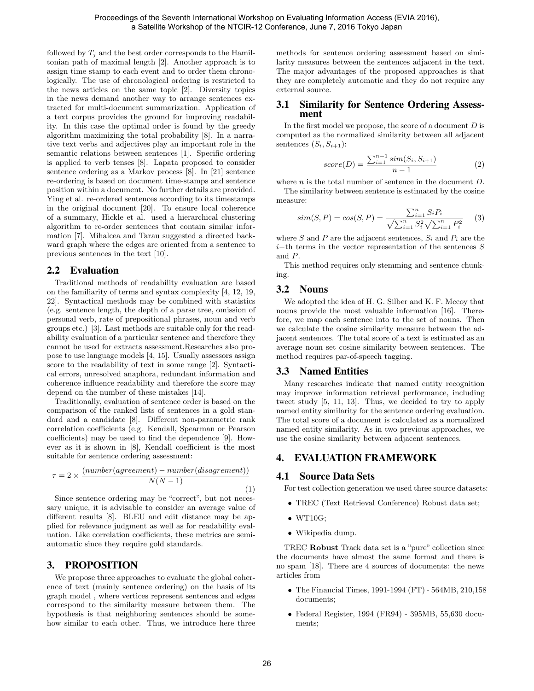followed by  $T_i$  and the best order corresponds to the Hamiltonian path of maximal length [2]. Another approach is to assign time stamp to each event and to order them chronologically. The use of chronological ordering is restricted to the news articles on the same topic [2]. Diversity topics in the news demand another way to arrange sentences extracted for multi-document summarization. Application of a text corpus provides the ground for improving readability. In this case the optimal order is found by the greedy algorithm maximizing the total probability [8]. In a narrative text verbs and adjectives play an important role in the semantic relations between sentences [1]. Specific ordering is applied to verb tenses [8]. Lapata proposed to consider sentence ordering as a Markov process [8]. In [21] sentence re-ordering is based on document time-stamps and sentence position within a document. No further details are provided. Ying et al. re-ordered sentences according to its timestamps in the original document [20]. To ensure local coherence of a summary, Hickle et al. used a hierarchical clustering algorithm to re-order sentences that contain similar information [7]. Mihalcea and Tarau suggested a directed backward graph where the edges are oriented from a sentence to previous sentences in the text [10].

#### 2.2 Evaluation

Traditional methods of readability evaluation are based on the familiarity of terms and syntax complexity [4, 12, 19, 22]. Syntactical methods may be combined with statistics (e.g. sentence length, the depth of a parse tree, omission of personal verb, rate of prepositional phrases, noun and verb groups etc.) [3]. Last methods are suitable only for the readability evaluation of a particular sentence and therefore they cannot be used for extracts assessment.Researches also propose to use language models [4, 15]. Usually assessors assign score to the readability of text in some range [2]. Syntactical errors, unresolved anaphora, redundant information and coherence influence readability and therefore the score may depend on the number of these mistakes [14].

Traditionally, evaluation of sentence order is based on the comparison of the ranked lists of sentences in a gold standard and a candidate [8]. Different non-parametric rank correlation coefficients (e.g. Kendall, Spearman or Pearson coefficients) may be used to find the dependence [9]. However as it is shown in [8], Kendall coefficient is the most suitable for sentence ordering assessment:

$$
\tau = 2 \times \frac{(number(agreement) - number(disagrement))}{N(N-1)}
$$
\n(1)

Since sentence ordering may be "correct", but not necessary unique, it is advisable to consider an average value of different results [8]. BLEU and edit distance may be applied for relevance judgment as well as for readability evaluation. Like correlation coefficients, these metrics are semiautomatic since they require gold standards.

#### 3. PROPOSITION

We propose three approaches to evaluate the global coherence of text (mainly sentence ordering) on the basis of its graph model , where vertices represent sentences and edges correspond to the similarity measure between them. The hypothesis is that neighboring sentences should be somehow similar to each other. Thus, we introduce here three

methods for sentence ordering assessment based on similarity measures between the sentences adjacent in the text. The major advantages of the proposed approaches is that they are completely automatic and they do not require any external source.

#### 3.1 Similarity for Sentence Ordering Assessment

In the first model we propose, the score of a document  $D$  is computed as the normalized similarity between all adjacent sentences  $(S_i, S_{i+1})$ :

$$
score(D) = \frac{\sum_{i=1}^{n-1} sim(S_i, S_{i+1})}{n-1}
$$
 (2)

where  $n$  is the total number of sentence in the document  $D$ .

The similarity between sentence is estimated by the cosine measure:

$$
sim(S, P) = cos(S, P) = \frac{\sum_{i=1}^{n} S_i P_i}{\sqrt{\sum_{i=1}^{n} S_i^2} \sqrt{\sum_{i=1}^{n} P_i^2}}
$$
 (3)

where S and P are the adjacent sentences,  $S_i$  and  $P_i$  are the  $i$ −th terms in the vector representation of the sentences S and P.

This method requires only stemming and sentence chunking.

#### 3.2 Nouns

We adopted the idea of H. G. Silber and K. F. Mccoy that nouns provide the most valuable information [16]. Therefore, we map each sentence into to the set of nouns. Then we calculate the cosine similarity measure between the adjacent sentences. The total score of a text is estimated as an average noun set cosine similarity between sentences. The method requires par-of-speech tagging.

#### 3.3 Named Entities

Many researches indicate that named entity recognition may improve information retrieval performance, including tweet study [5, 11, 13]. Thus, we decided to try to apply named entity similarity for the sentence ordering evaluation. The total score of a document is calculated as a normalized named entity similarity. As in two previous approaches, we use the cosine similarity between adjacent sentences.

## 4. EVALUATION FRAMEWORK

#### 4.1 Source Data Sets

For test collection generation we used three source datasets:

- TREC (Text Retrieval Conference) Robust data set;
- WT10G;
- Wikipedia dump.

TREC Robust Track data set is a "pure" collection since the documents have almost the same format and there is no spam [18]. There are 4 sources of documents: the news articles from

- The Financial Times, 1991-1994 (FT) 564MB, 210,158 documents;
- Federal Register, 1994 (FR94) 395MB, 55,630 documents;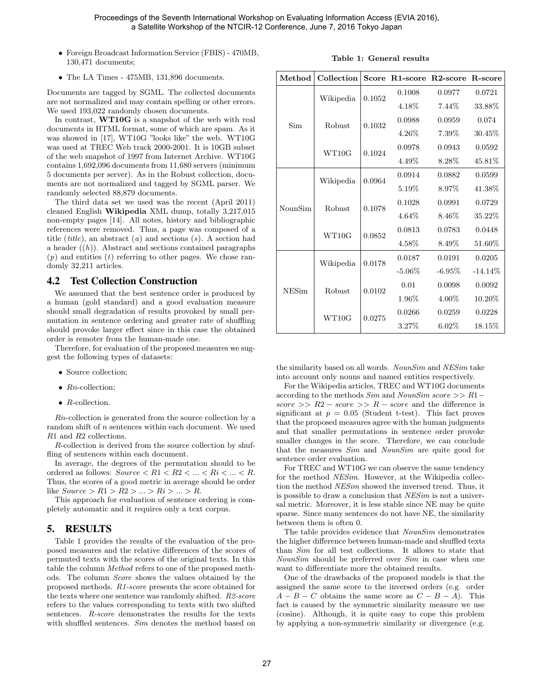- Foreign Broadcast Information Service (FBIS) 470MB, 130,471 documents;
- The LA Times 475MB, 131,896 documents.

Documents are tagged by SGML. The collected documents are not normalized and may contain spelling or other errors. We used 193,022 randomly chosen documents.

In contrast, WT10G is a snapshot of the web with real documents in HTML format, some of which are spam. As it was showed in [17], WT10G "looks like" the web. WT10G was used at TREC Web track 2000-2001. It is 10GB subset of the web snapshot of 1997 from Internet Archive. WT10G contains 1,692,096 documents from 11,680 servers (minimum 5 documents per server). As in the Robust collection, documents are not normalized and tagged by SGML parser. We randomly selected 88,879 documents.

The third data set we used was the recent (April 2011) cleaned English Wikipedia XML dump, totally 3,217,015 non-empty pages [14]. All notes, history and bibliographic references were removed. Thus, a page was composed of a title (*title*), an abstract (*a*) and sections (*s*). A section had a header  $((h))$ . Abstract and sections contained paragraphs  $(p)$  and entities  $(t)$  referring to other pages. We chose randomly 32,211 articles.

#### 4.2 Test Collection Construction

We assumed that the best sentence order is produced by a human (gold standard) and a good evaluation measure should small degradation of results provoked by small permutation in sentence ordering and greater rate of shuffling should provoke larger effect since in this case the obtained order is remoter from the human-made one.

Therefore, for evaluation of the proposed measures we suggest the following types of datasets:

- Source collection;
- $Rn$ -collection;
- $\bullet$  R-collection.

Rn-collection is generated from the source collection by a random shift of  $n$  sentences within each document. We used R1 and R2 collections.

R-collection is derived from the source collection by shuffling of sentences within each document.

In average, the degrees of the permutation should to be ordered as follows:  $Source < R1 < R2 < ... < Ri < ... < R$ . Thus, the scores of a good metric in average should be order like  $Source > R1 > R2 > ... > Ri > ... > R$ .

This approach for evaluation of sentence ordering is completely automatic and it requires only a text corpus.

#### 5. RESULTS

Table 1 provides the results of the evaluation of the proposed measures and the relative differences of the scores of permuted texts with the scores of the original texts. In this table the column Method refers to one of the proposed methods. The column Score shows the values obtained by the proposed methods. R1-score presents the score obtained for the texts where one sentence was randomly shifted. R2-score refers to the values corresponding to texts with two shifted sentences. R-score demonstrates the results for the texts with shuffled sentences. Sim denotes the method based on

|  |  | Table 1: General results |  |
|--|--|--------------------------|--|
|--|--|--------------------------|--|

| Method       | Collection |        | Score R1-score R2-score R-score |           |            |
|--------------|------------|--------|---------------------------------|-----------|------------|
| Sim          | Wikipedia  | 0.1052 | 0.1008                          | 0.0977    | 0.0721     |
|              |            |        | 4.18%                           | 7.44\%    | 33.88%     |
|              | Robust     | 0.1032 | 0.0988                          | 0.0959    | 0.074      |
|              |            |        | $4.26\%$                        | $7.39\%$  | $30.45\%$  |
|              | WT10G      | 0.1024 | 0.0978                          | 0.0943    | 0.0592     |
|              |            |        | 4.49%                           | 8.28\%    | 45.81%     |
| NounSim      | Wikipedia  | 0.0964 | 0.0914                          | 0.0882    | 0.0599     |
|              |            |        | $5.19\%$                        | 8.97\%    | $41.38\%$  |
|              | Robust     | 0.1078 | 0.1028                          | 0.0991    | 0.0729     |
|              |            |        | $4.64\%$                        | 8.46\%    | $35.22\%$  |
|              | WT10G      | 0.0852 | 0.0813                          | 0.0783    | 0.0448     |
|              |            |        | 4.58%                           | $8.49\%$  | 51.60%     |
| <b>NESim</b> | Wikipedia  | 0.0178 | 0.0187                          | 0.0191    | 0.0205     |
|              |            |        | $-5.06\%$                       | $-6.95\%$ | $-14.14\%$ |
|              | Robust     | 0.0102 | 0.01                            | 0.0098    | 0.0092     |
|              |            |        | $1.96\%$                        | $4.00\%$  | 10.20%     |
|              | WT10G      | 0.0275 | 0.0266                          | 0.0259    | 0.0228     |
|              |            |        | 3.27%                           | $6.02\%$  | 18.15\%    |

the similarity based on all words. NounSim and NESim take into account only nouns and named entities respectively.

For the Wikipedia articles, TREC and WT10G documents according to the methods  $Sim$  and  $NounSim$  score >> R1− score >>  $R2 - score$  >>  $R - score$  and the difference is significant at  $p = 0.05$  (Student t-test). This fact proves that the proposed measures agree with the human judgments and that smaller permutations in sentence order provoke smaller changes in the score. Therefore, we can conclude that the measures Sim and NounSim are quite good for sentence order evaluation.

For TREC and WT10G we can observe the same tendency for the method NESim. However, at the Wikipedia collection the method NESim showed the inversed trend. Thus, it is possible to draw a conclusion that NESim is not a universal metric. Moreover, it is less stable since NE may be quite sparse. Since many sentences do not have NE, the similarity between them is often 0.

The table provides evidence that NounSim demonstrates the higher difference between human-made and shuffled texts than Sim for all test collections. It allows to state that NounSim should be preferred over Sim in case when one want to differentiate more the obtained results.

One of the drawbacks of the proposed models is that the assigned the same score to the inversed orders (e.g. order  $A - B - C$  obtains the same score as  $C - B - A$ ). This fact is caused by the symmetric similarity measure we use (cosine). Although, it is quite easy to cope this problem by applying a non-symmetric similarity or divergence (e.g.